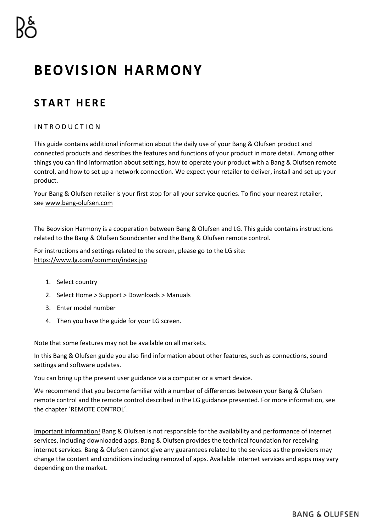# **BEOVISION HARMONY**

# **S T A R T H E R E**

# I N T R O D U C T I O N

This guide contains additional information about the daily use of your Bang & Olufsen product and connected products and describes the features and functions of your product in more detail. Among other things you can find information about settings, how to operate your product with a Bang & Olufsen remote control, and how to set up a network connection. We expect your retailer to deliver, install and set up your product.

Your Bang & Olufsen retailer is your first stop for all your service queries. To find your nearest retailer, see [www.bang-olufsen.com](http://www.bang-olufsen.com/)

The Beovision Harmony is a cooperation between Bang & Olufsen and LG. This guide contains instructions related to the Bang & Olufsen Soundcenter and the Bang & Olufsen remote control.

For instructions and settings related to the screen, please go to the LG site: <https://www.lg.com/common/index.jsp>

- 1. Select country
- 2. Select Home > Support > Downloads > Manuals
- 3. Enter model number
- 4. Then you have the guide for your LG screen.

Note that some features may not be available on all markets.

In this Bang & Olufsen guide you also find information about other features, such as connections, sound settings and software updates.

You can bring up the present user guidance via a computer or a smart device.

We recommend that you become familiar with a number of differences between your Bang & Olufsen remote control and the remote control described in the LG guidance presented. For more information, see the chapter ´REMOTE CONTROL´.

Important information! Bang & Olufsen is not responsible for the availability and performance of internet services, including downloaded apps. Bang & Olufsen provides the technical foundation for receiving internet services. Bang & Olufsen cannot give any guarantees related to the services as the providers may change the content and conditions including removal of apps. Available internet services and apps may vary depending on the market.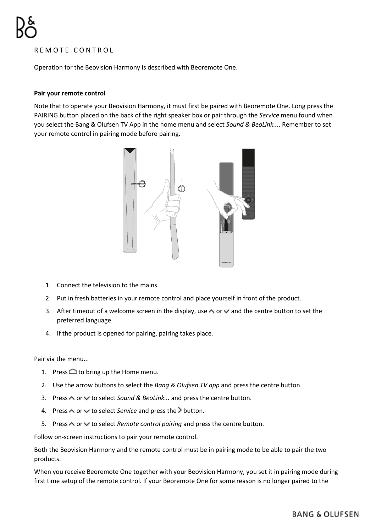# REMOTE CONTROL

Operation for the Beovision Harmony is described with Beoremote One.

#### **Pair your remote control**

Note that to operate your Beovision Harmony, it must first be paired with Beoremote One. Long press the PAIRING button placed on the back of the right speaker box or pair through the *Service* menu found when you select the Bang & Olufsen TV App in the home menu and select *Sound & BeoLink...*. Remember to set your remote control in pairing mode before pairing.



- 1. Connect the television to the mains.
- 2. Put in fresh batteries in your remote control and place yourself in front of the product.
- 3. After timeout of a welcome screen in the display, use  $\sim$  or  $\vee$  and the centre button to set the preferred language.
- 4. If the product is opened for pairing, pairing takes place.

Pair via the menu...

- 1. Press  $\bigcirc$  to bring up the Home menu.
- 2. Use the arrow buttons to select the *Bang & Olufsen TV app* and press the centre button.
- 3. Press  $\triangle$  or  $\vee$  to select *Sound & BeoLink...* and press the centre button.
- 4. Press  $\wedge$  or  $\vee$  to select *Service* and press the  $\geq$  button.
- 5. Press  $\bigwedge$  or  $\vee$  to select *Remote control pairing* and press the centre button.

Follow on-screen instructions to pair your remote control.

Both the Beovision Harmony and the remote control must be in pairing mode to be able to pair the two products.

When you receive Beoremote One together with your Beovision Harmony, you set it in pairing mode during first time setup of the remote control. If your Beoremote One for some reason is no longer paired to the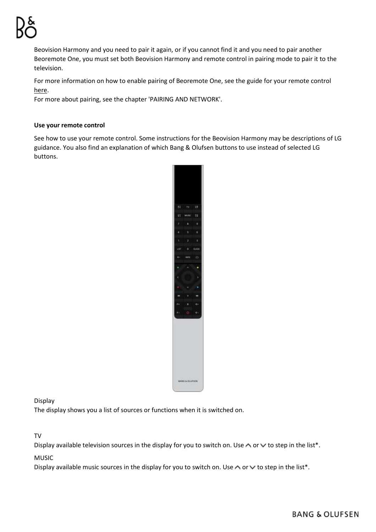Beovision Harmony and you need to pair it again, or if you cannot find it and you need to pair another Beoremote One, you must set both Beovision Harmony and remote control in pairing mode to pair it to the television.

For more information on how to enable pairing of Beoremote One, see the guide for your remote control [here.](https://www.bang-olufsen.com/product-support/accessories/beoremote-one)

For more about pairing, see the chapter 'PAIRING AND NETWORK'.

#### **Use your remote control**

See how to use your remote control. Some instructions for the Beovision Harmony may be descriptions of LG guidance. You also find an explanation of which Bang & Olufsen buttons to use instead of selected LG buttons.



Display

The display shows you a list of sources or functions when it is switched on.

TV

Display available television sources in the display for you to switch on. Use  $\wedge$  or  $\vee$  to step in the list\*.

MUSIC

Display available music sources in the display for you to switch on. Use  $\wedge$  or  $\vee$  to step in the list\*.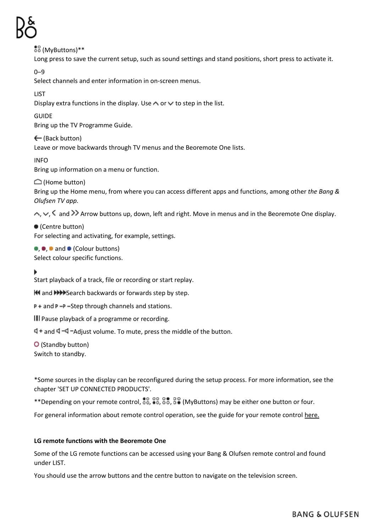$58$  (MyButtons)\*\* Long press to save the current setup, such as sound settings and stand positions, short press to activate it. 0–9 Select channels and enter information in on-screen menus. LIST Display extra functions in the display. Use  $\wedge$  or  $\vee$  to step in the list. GUIDE Bring up the TV Programme Guide. ← (Back button) Leave or move backwards through TV menus and the Beoremote One lists. INFO Bring up information on a menu or function.  $\bigcap$  (Home button) Bring up the Home menu, from where you can access different apps and functions, among other *the Bang & Olufsen TV app.*  $\land$ ,  $\lor$ ,  $\leq$  and  $\gg$  Arrow buttons up, down, left and right. Move in menus and in the Beoremote One display. (Centre button) For selecting and activating, for example, settings.  $\bullet$ ,  $\bullet$  and  $\bullet$  (Colour buttons) Select colour specific functions. Start playback of a track, file or recording or start replay. **K4** and **DDD** Search backwards or forwards step by step.  $P +$  and  $P -$ P -Step through channels and stations. **III** Pause playback of a programme or recording.

 $\Box$  + and  $\Box$  - $\Box$  -Adjust volume. To mute, press the middle of the button.

(Standby button) Switch to standby.

\*Some sources in the display can be reconfigured during the setup process. For more information, see the chapter 'SET UP CONNECTED PRODUCTS'.

\*\*Depending on your remote control,  $\frac{80}{60}$ ,  $\frac{88}{60}$ ,  $\frac{88}{60}$  (MyButtons) may be either one button or four.

For general information about remote control operation, see the guide for your remote control here.

#### **LG remote functions with the Beoremote One**

Some of the LG remote functions can be accessed using your Bang & Olufsen remote control and found under LIST.

You should use the arrow buttons and the centre button to navigate on the television screen.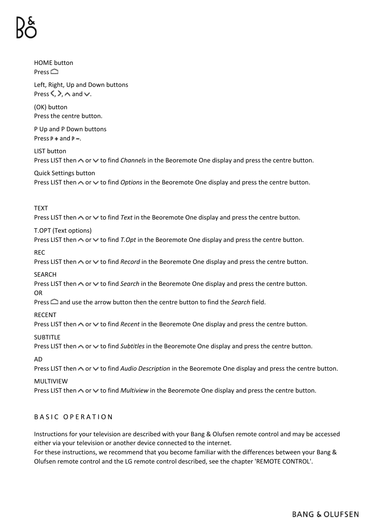HOME button **Press** 

Left, Right, Up and Down buttons Press  $\langle \rangle$   $\wedge$  and  $\vee$ 

(OK) button Press the centre button.

P Up and P Down buttons Press  $P +$  and  $P -$ .

LIST button Press LIST then  $\land$  or  $\lor$  to find *Channels* in the Beoremote One display and press the centre button.

Quick Settings button Press LIST then  $\sim$  or  $\vee$  to find *Options* in the Beoremote One display and press the centre button.

TEXT

Press LIST then  $\wedge$  or  $\vee$  to find *Text* in the Beoremote One display and press the centre button.

T.OPT (Text options)

Press LIST then  $\sim$  or  $\vee$  to find *T.Opt* in the Beoremote One display and press the centre button.

REC

Press LIST then  $\sim$  or  $\vee$  to find *Record* in the Beoremote One display and press the centre button.

SEARCH

Press LIST then  $\land$  or  $\lor$  to find *Search* in the Beoremote One display and press the centre button. OR

Press **and use the arrow button then the centre button to find the** *Search* **field.** 

RECENT

Press LIST then  $\sim$  or  $\vee$  to find *Recent* in the Beoremote One display and press the centre button.

**SUBTITLE** 

Press LIST then  $\sim$  or  $\vee$  to find *Subtitles* in the Beoremote One display and press the centre button.

AD

Press LIST then  $\sim$  or  $\vee$  to find *Audio Description* in the Beoremote One display and press the centre button.

MULTIVIEW

Press LIST then  $\sim$  or  $\vee$  to find *Multiview* in the Beoremote One display and press the centre button.

# BASIC OPERATION

Instructions for your television are described with your Bang & Olufsen remote control and may be accessed either via your television or another device connected to the internet.

For these instructions, we recommend that you become familiar with the differences between your Bang & Olufsen remote control and the LG remote control described, see the chapter 'REMOTE CONTROL'.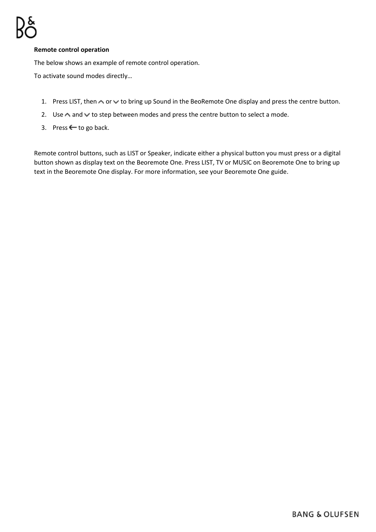# **Remote control operation**

The below shows an example of remote control operation.

To activate sound modes directly…

- 1. Press LIST, then  $\triangle$  or  $\triangledown$  to bring up Sound in the BeoRemote One display and press the centre button.
- 2. Use  $\triangle$  and  $\triangle$  to step between modes and press the centre button to select a mode.
- 3. Press  $\leftarrow$  to go back.

Remote control buttons, such as LIST or Speaker, indicate either a physical button you must press or a digital button shown as display text on the Beoremote One. Press LIST, TV or MUSIC on Beoremote One to bring up text in the Beoremote One display. For more information, see your [Beoremote One guide.](https://www.bang-olufsen.com/en/product-support/accessories/beoremote-one)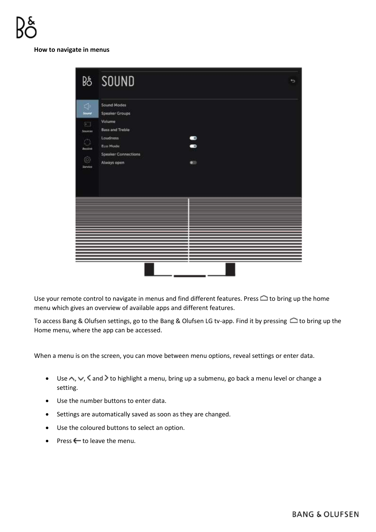#### **How to navigate in menus**

|                                                                    | <b>B&amp; SOUND</b><br>٠                                                                                                                                                                     |
|--------------------------------------------------------------------|----------------------------------------------------------------------------------------------------------------------------------------------------------------------------------------------|
| 4<br>Sound<br>扫<br>Sources<br>Ö<br><b>Besthe</b><br>463<br>Stryton | <b>Sound Modes</b><br><b>Speaker Groups</b><br>Volume:<br><b>Bass and Treble</b><br>$\bullet$<br>Loudness<br>$\bullet$<br>Eco Mode<br><b>Speaker Connections</b><br>Always open<br>$\bullet$ |
|                                                                    |                                                                                                                                                                                              |

Use your remote control to navigate in menus and find different features. Press  $\bigcirc$  to bring up the home menu which gives an overview of available apps and different features.

To access Bang & Olufsen settings, go to the Bang & Olufsen LG tv-app. Find it by pressing  $\triangle$  to bring up the Home menu, where the app can be accessed.

When a menu is on the screen, you can move between menu options, reveal settings or enter data.

- Use  $\wedge$ ,  $\vee$ ,  $\leq$  and  $\geq$  to highlight a menu, bring up a submenu, go back a menu level or change a setting.
- Use the number buttons to enter data.
- Settings are automatically saved as soon as they are changed.
- Use the coloured buttons to select an option.
- Press  $\leftarrow$  to leave the menu.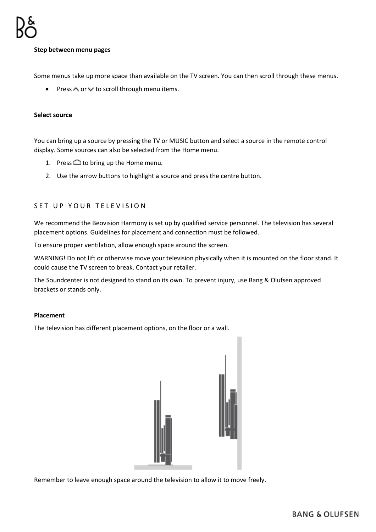#### **Step between menu pages**

Some menus take up more space than available on the TV screen. You can then scroll through these menus.

• Press  $\wedge$  or  $\vee$  to scroll through menu items.

#### **Select source**

You can bring up a source by pressing the TV or MUSIC button and select a source in the remote control display. Some sources can also be selected from the Home menu.

- 1. Press  $\bigcirc$  to bring up the Home menu.
- 2. Use the arrow buttons to highlight a source and press the centre button.

# SET UP YOUR TELEVISION

We recommend the Beovision Harmony is set up by qualified service personnel. The television has several placement options. Guidelines for placement and connection must be followed.

To ensure proper ventilation, allow enough space around the screen.

WARNING! Do not lift or otherwise move your television physically when it is mounted on the floor stand. It could cause the TV screen to break. Contact your retailer.

The Soundcenter is not designed to stand on its own. To prevent injury, use Bang & Olufsen approved brackets or stands only.

#### **Placement**

The television has different placement options, on the floor or a wall.



Remember to leave enough space around the television to allow it to move freely.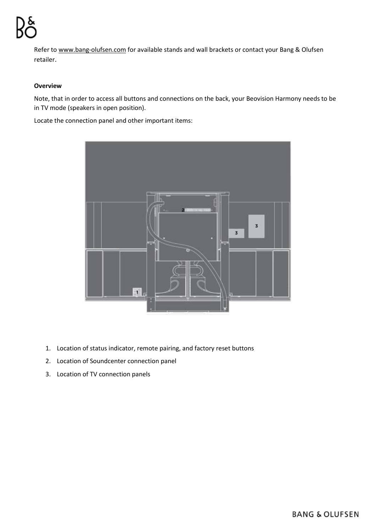Refer to www.bang-olufsen.com for available stands and wall brackets or contact your Bang & Olufsen retailer.

### **Overview**

Note, that in order to access all buttons and connections on the back, your Beovision Harmony needs to be in TV mode (speakers in open position).

Locate the connection panel and other important items:



- 1. Location of status indicator, remote pairing, and factory reset buttons
- 2. Location of Soundcenter connection panel
- 3. Location of TV connection panels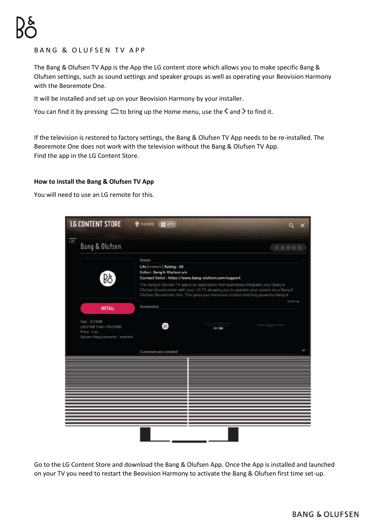# BANG & OLUFSEN TV APP

The Bang & Olufsen TV App is the App the LG content store which allows you to make specific Bang & Olufsen settings, such as sound settings and speaker groups as well as operating your Beovision Harmony with the Beoremote One.

It will be installed and set up on your Beovision Harmony by your installer.

You can find it by pressing  $\bigcirc$  to bring up the Home menu, use the  $\langle$  and  $\rangle$  to find it.

If the television is restored to factory settings, the Bang & Olufsen TV App needs to be re-installed. The Beoremote One does not work with the television without the Bang & Olufsen TV App. Find the app in the LG Content Store.

### **How to install the Bang & Olufsen TV App**

You will need to use an LG remote for this.



Go to the LG Content Store and download the Bang & Olufsen App. Once the App is installed and launched on your TV you need to restart the Beovision Harmony to activate the Bang & Olufsen first time set-up.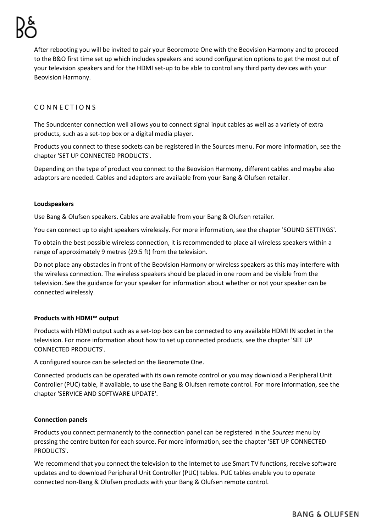After rebooting you will be invited to pair your Beoremote One with the Beovision Harmony and to proceed to the B&O first time set up which includes speakers and sound configuration options to get the most out of your television speakers and for the HDMI set-up to be able to control any third party devices with your Beovision Harmony.

# CONNECTIONS

The Soundcenter connection well allows you to connect signal input cables as well as a variety of extra products, such as a set-top box or a digital media player.

Products you connect to these sockets can be registered in the Sources menu. For more information, see the chapter 'SET UP CONNECTED PRODUCTS'.

Depending on the type of product you connect to the Beovision Harmony, different cables and maybe also adaptors are needed. Cables and adaptors are available from your Bang & Olufsen retailer.

# **Loudspeakers**

Use Bang & Olufsen speakers. Cables are available from your Bang & Olufsen retailer.

You can connect up to eight speakers wirelessly. For more information, see the chapter 'SOUND SETTINGS'.

To obtain the best possible wireless connection, it is recommended to place all wireless speakers within a range of approximately 9 metres (29.5 ft) from the television.

Do not place any obstacles in front of the Beovision Harmony or wireless speakers as this may interfere with the wireless connection. The wireless speakers should be placed in one room and be visible from the television. See the guidance for your speaker for information about whether or not your speaker can be connected wirelessly.

# **Products with HDMI™ output**

Products with HDMI output such as a set-top box can be connected to any available HDMI IN socket in the television. For more information about how to set up connected products, see the chapter 'SET UP CONNECTED PRODUCTS'.

A configured source can be selected on the Beoremote One.

Connected products can be operated with its own remote control or you may download a Peripheral Unit Controller (PUC) table, if available, to use the Bang & Olufsen remote control. For more information, see the chapter 'SERVICE AND SOFTWARE UPDATE'.

#### **Connection panels**

Products you connect permanently to the connection panel can be registered in the *Sources* menu by pressing the centre button for each source. For more information, see the chapter 'SET UP CONNECTED PRODUCTS'.

We recommend that you connect the television to the Internet to use Smart TV functions, receive software updates and to download Peripheral Unit Controller (PUC) tables. PUC tables enable you to operate connected non-Bang & Olufsen products with your Bang & Olufsen remote control.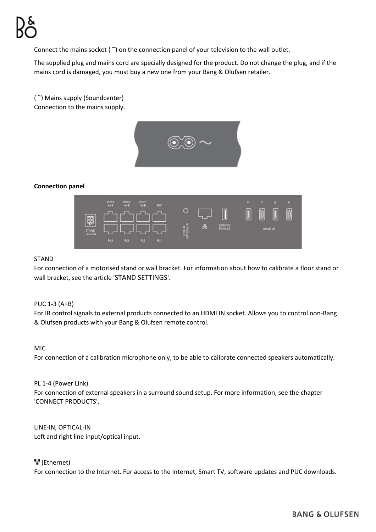Connect the mains socket  $(\gamma)$  on the connection panel of your television to the wall outlet.

The supplied plug and mains cord are specially designed for the product. Do not change the plug, and if the mains cord is damaged, you must buy a new one from your Bang & Olufsen retailer.

(  $\sup$ ) Mains supply (Soundcenter) Connection to the mains supply.



### **Connection panel**



#### STAND

For connection of a motorised stand or wall bracket. For information about how to calibrate a floor stand or wall bracket, see the article 'STAND SETTINGS'.

# PUC 1-3 (A+B)

For IR control signals to external products connected to an HDMI IN socket. Allows you to control non-Bang & Olufsen products with your Bang & Olufsen remote control.

#### MIC

For connection of a calibration microphone only, to be able to calibrate connected speakers automatically.

#### PL 1-4 (Power Link)

For connection of external speakers in a surround sound setup. For more information, see the chapter 'CONNECT PRODUCTS'.

LINE-IN, OPTICAL-IN Left and right line input/optical input.

# (Ethernet)

For connection to the Internet. For access to the Internet, Smart TV, software updates and PUC downloads.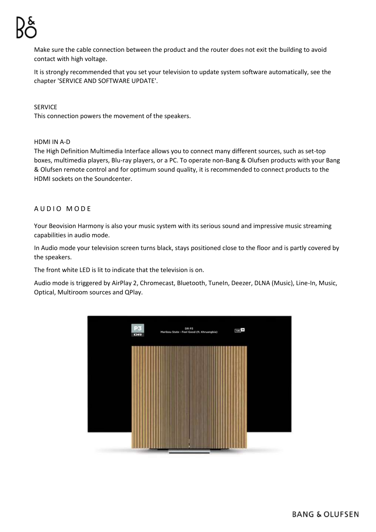Make sure the cable connection between the product and the router does not exit the building to avoid contact with high voltage.

It is strongly recommended that you set your television to update system software automatically, see the chapter 'SERVICE AND SOFTWARE UPDATE'.

SERVICE

This connection powers the movement of the speakers.

#### HDMI IN A-D

The High Definition Multimedia Interface allows you to connect many different sources, such as set-top boxes, multimedia players, Blu-ray players, or a PC. To operate non-Bang & Olufsen products with your Bang & Olufsen remote control and for optimum sound quality, it is recommended to connect products to the HDMI sockets on the Soundcenter.

# AUDIO MODE

Your Beovision Harmony is also your music system with its serious sound and impressive music streaming capabilities in audio mode.

In Audio mode your television screen turns black, stays positioned close to the floor and is partly covered by the speakers.

The front white LED is lit to indicate that the television is on.

Audio mode is triggered by AirPlay 2, Chromecast, Bluetooth, TuneIn, Deezer, DLNA (Music), Line-In, Music, Optical, Multiroom sources and QPlay.

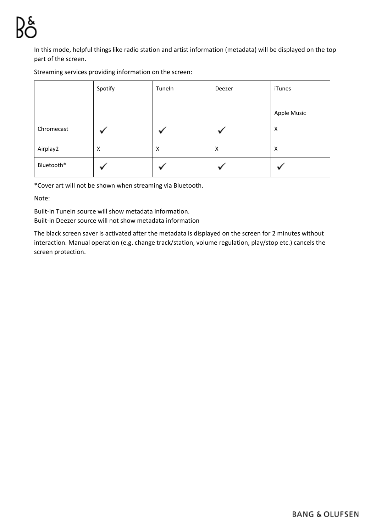In this mode, helpful things like radio station and artist information (metadata) will be displayed on the top part of the screen.

Streaming services providing information on the screen:

|            | Spotify | Tuneln | Deezer | iTunes      |
|------------|---------|--------|--------|-------------|
|            |         |        |        | Apple Music |
| Chromecast |         |        |        | Χ           |
| Airplay2   | Χ       | X      | X      | X           |
| Bluetooth* |         |        |        |             |

\*Cover art will not be shown when streaming via Bluetooth.

Note:

Built-in TuneIn source will show metadata information. Built-in Deezer source will not show metadata information

The black screen saver is activated after the metadata is displayed on the screen for 2 minutes without interaction. Manual operation (e.g. change track/station, volume regulation, play/stop etc.) cancels the screen protection.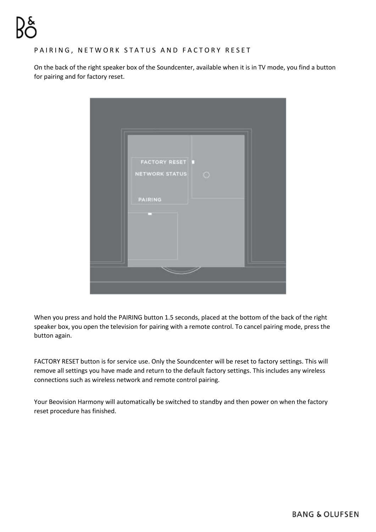# PAIRING, NETWORK STATUS AND FACTORY RESET

On the back of the right speaker box of the Soundcenter, available when it is in TV mode, you find a button for pairing and for factory reset.



When you press and hold the PAIRING button 1.5 seconds, placed at the bottom of the back of the right speaker box, you open the television for pairing with a remote control. To cancel pairing mode, press the button again.

FACTORY RESET button is for service use. Only the Soundcenter will be reset to factory settings. This will remove all settings you have made and return to the default factory settings. This includes any wireless connections such as wireless network and remote control pairing.

Your Beovision Harmony will automatically be switched to standby and then power on when the factory reset procedure has finished.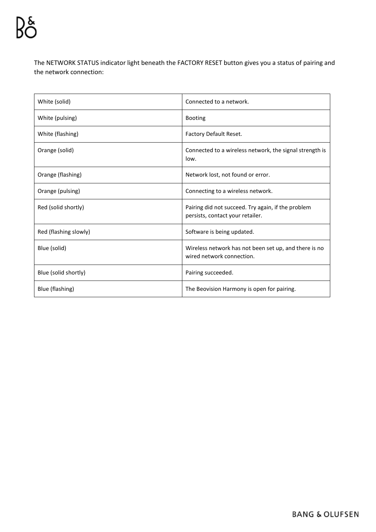The NETWORK STATUS indicator light beneath the FACTORY RESET button gives you a status of pairing and the network connection:

| White (solid)         | Connected to a network.                                                                |
|-----------------------|----------------------------------------------------------------------------------------|
| White (pulsing)       | <b>Booting</b>                                                                         |
| White (flashing)      | Factory Default Reset.                                                                 |
| Orange (solid)        | Connected to a wireless network, the signal strength is<br>low.                        |
| Orange (flashing)     | Network lost, not found or error.                                                      |
| Orange (pulsing)      | Connecting to a wireless network.                                                      |
| Red (solid shortly)   | Pairing did not succeed. Try again, if the problem<br>persists, contact your retailer. |
| Red (flashing slowly) | Software is being updated.                                                             |
| Blue (solid)          | Wireless network has not been set up, and there is no<br>wired network connection.     |
| Blue (solid shortly)  | Pairing succeeded.                                                                     |
| Blue (flashing)       | The Beovision Harmony is open for pairing.                                             |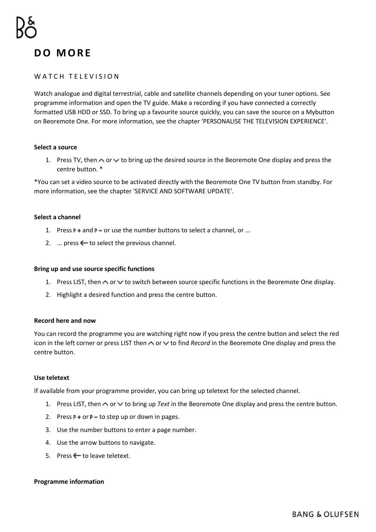# **D O M O R E**

#### WATCH TELEVISION

Watch analogue and digital terrestrial, cable and satellite channels depending on your tuner options. See programme information and open the TV guide. Make a recording if you have connected a correctly formatted USB HDD or SSD. To bring up a favourite source quickly, you can save the source on a Mybutton on Beoremote One. For more information, see the chapter 'PERSONALISE THE TELEVISION EXPERIENCE'.

#### **Select a source**

1. Press TV, then  $\sim$  or  $\vee$  to bring up the desired source in the Beoremote One display and press the centre button. \*

\*You can set a video source to be activated directly with the Beoremote One TV button from standby. For more information, see the chapter 'SERVICE AND SOFTWARE UPDATE'.

#### **Select a channel**

- 1. Press  $P +$  and  $P -$  or use the number buttons to select a channel, or ...
- 2.  $\ldots$  press  $\leftarrow$  to select the previous channel.

#### **Bring up and use source specific functions**

- 1. Press LIST, then  $\sim$  or  $\vee$  to switch between source specific functions in the Beoremote One display.
- 2. Highlight a desired function and press the centre button.

#### **Record here and now**

You can record the programme you are watching right now if you press the centre button and select the red icon in the left corner or press LIST then  $\land$  or  $\lor$  to find *Record* in the Beoremote One display and press the centre button.

#### **Use teletext**

If available from your programme provider, you can bring up teletext for the selected channel.

- 1. Press LIST, then  $\triangle$  or  $\vee$  to bring up *Text* in the Beoremote One display and press the centre button.
- 2. Press  $P +$  or  $P -$  to step up or down in pages.
- 3. Use the number buttons to enter a page number.
- 4. Use the arrow buttons to navigate.
- 5. Press  $\leftarrow$  to leave teletext.

#### **Programme information**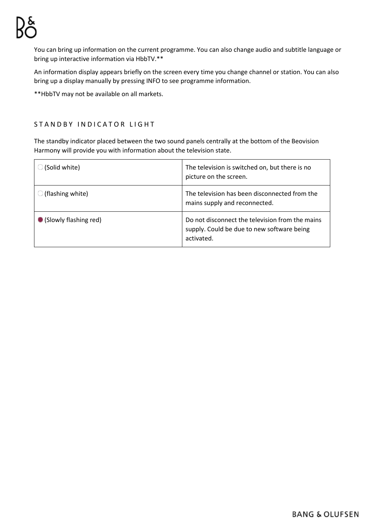You can bring up information on the current programme. You can also change audio and subtitle language or bring up interactive information via HbbTV.\*\*

An information display appears briefly on the screen every time you change channel or station. You can also bring up a display manually by pressing INFO to see programme information.

\*\*HbbTV may not be available on all markets.

# STANDBY INDICATOR LIGHT

The standby indicator placed between the two sound panels centrally at the bottom of the Beovision Harmony will provide you with information about the television state.

| (Solid white)           | The television is switched on, but there is no<br>picture on the screen.                                    |
|-------------------------|-------------------------------------------------------------------------------------------------------------|
| (flashing white)        | The television has been disconnected from the<br>mains supply and reconnected.                              |
| • (Slowly flashing red) | Do not disconnect the television from the mains<br>supply. Could be due to new software being<br>activated. |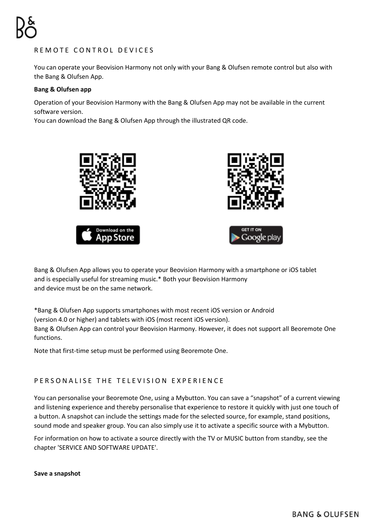# REMOTE CONTROL DEVICES

You can operate your Beovision Harmony not only with your Bang & Olufsen remote control but also with the Bang & Olufsen App.

### **Bang & Olufsen app**

Operation of your Beovision Harmony with the Bang & Olufsen App may not be available in the current software version.

You can download the Bang & Olufsen App through the illustrated QR code.



Bang & Olufsen App allows you to operate your Beovision Harmony with a smartphone or iOS tablet and is especially useful for streaming music.\* Both your Beovision Harmony and device must be on the same network.

\*Bang & Olufsen App supports smartphones with most recent iOS version or Android (version 4.0 or higher) and tablets with iOS (most recent iOS version).

Bang & Olufsen App can control your Beovision Harmony. However, it does not support all Beoremote One functions.

Note that first-time setup must be performed using Beoremote One.

# PERSONALISE THE TELEVISION EXPERIENCE

You can personalise your Beoremote One, using a Mybutton. You can save a "snapshot" of a current viewing and listening experience and thereby personalise that experience to restore it quickly with just one touch of a button. A snapshot can include the settings made for the selected source, for example, stand positions, sound mode and speaker group. You can also simply use it to activate a specific source with a Mybutton.

For information on how to activate a source directly with the TV or MUSIC button from standby, see the chapter 'SERVICE AND SOFTWARE UPDATE'.

**Save a snapshot**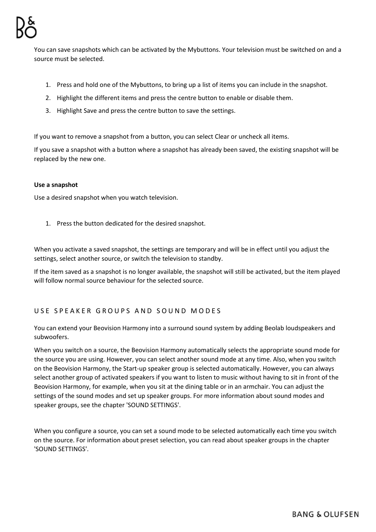You can save snapshots which can be activated by the Mybuttons. Your television must be switched on and a source must be selected.

- 1. Press and hold one of the Mybuttons, to bring up a list of items you can include in the snapshot.
- 2. Highlight the different items and press the centre button to enable or disable them.
- 3. Highlight Save and press the centre button to save the settings.

If you want to remove a snapshot from a button, you can select Clear or uncheck all items.

If you save a snapshot with a button where a snapshot has already been saved, the existing snapshot will be replaced by the new one.

### **Use a snapshot**

Use a desired snapshot when you watch television.

1. Press the button dedicated for the desired snapshot.

When you activate a saved snapshot, the settings are temporary and will be in effect until you adjust the settings, select another source, or switch the television to standby.

If the item saved as a snapshot is no longer available, the snapshot will still be activated, but the item played will follow normal source behaviour for the selected source.

# USE SPEAKER GROUPS AND SOUND MODES

You can extend your Beovision Harmony into a surround sound system by adding Beolab loudspeakers and subwoofers.

When you switch on a source, the Beovision Harmony automatically selects the appropriate sound mode for the source you are using. However, you can select another sound mode at any time. Also, when you switch on the Beovision Harmony, the Start-up speaker group is selected automatically. However, you can always select another group of activated speakers if you want to listen to music without having to sit in front of the Beovision Harmony, for example, when you sit at the dining table or in an armchair. You can adjust the settings of the sound modes and set up speaker groups. For more information about sound modes and speaker groups, see the chapter 'SOUND SETTINGS'.

When you configure a source, you can set a sound mode to be selected automatically each time you switch on the source. For information about preset selection, you can read about speaker groups in the chapter 'SOUND SETTINGS'.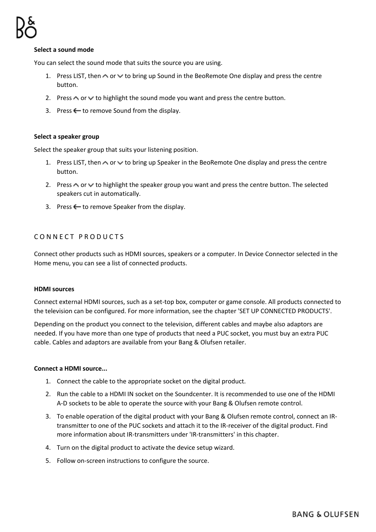#### **Select a sound mode**

You can select the sound mode that suits the source you are using.

- 1. Press LIST, then  $\sim$  or  $\vee$  to bring up Sound in the BeoRemote One display and press the centre button.
- 2. Press  $\wedge$  or  $\vee$  to highlight the sound mode you want and press the centre button.
- 3. Press  $\leftarrow$  to remove Sound from the display.

#### **Select a speaker group**

Select the speaker group that suits your listening position.

- 1. Press LIST, then  $\sim$  or  $\vee$  to bring up Speaker in the BeoRemote One display and press the centre button.
- 2. Press  $\triangle$  or  $\triangle$  to highlight the speaker group you want and press the centre button. The selected speakers cut in automatically.
- 3. Press  $\leftarrow$  to remove Speaker from the display.

# CONNECT PRODUCTS

Connect other products such as HDMI sources, speakers or a computer. In Device Connector selected in the Home menu, you can see a list of connected products.

#### **HDMI sources**

Connect external HDMI sources, such as a set-top box, computer or game console. All products connected to the television can be configured. For more information, see the chapter 'SET UP CONNECTED PRODUCTS'.

Depending on the product you connect to the television, different cables and maybe also adaptors are needed. If you have more than one type of products that need a PUC socket, you must buy an extra PUC cable. Cables and adaptors are available from your Bang & Olufsen retailer.

#### **Connect a HDMI source...**

- 1. Connect the cable to the appropriate socket on the digital product.
- 2. Run the cable to a HDMI IN socket on the Soundcenter. It is recommended to use one of the HDMI A-D sockets to be able to operate the source with your Bang & Olufsen remote control.
- 3. To enable operation of the digital product with your Bang & Olufsen remote control, connect an IRtransmitter to one of the PUC sockets and attach it to the IR-receiver of the digital product. Find more information about IR-transmitters under 'IR-transmitters' in this chapter.
- 4. Turn on the digital product to activate the device setup wizard.
- 5. Follow on-screen instructions to configure the source.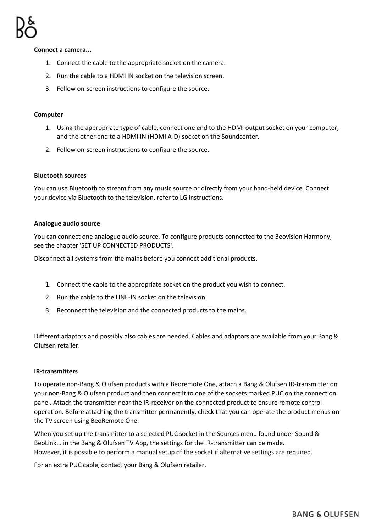#### **Connect a camera...**

- 1. Connect the cable to the appropriate socket on the camera.
- 2. Run the cable to a HDMI IN socket on the television screen.
- 3. Follow on-screen instructions to configure the source.

#### **Computer**

- 1. Using the appropriate type of cable, connect one end to the HDMI output socket on your computer, and the other end to a HDMI IN (HDMI A-D) socket on the Soundcenter.
- 2. Follow on-screen instructions to configure the source.

#### **Bluetooth sources**

You can use Bluetooth to stream from any music source or directly from your hand-held device. Connect your device via Bluetooth to the television, refer to LG instructions.

#### **Analogue audio source**

You can connect one analogue audio source. To configure products connected to the Beovision Harmony, see the chapter 'SET UP CONNECTED PRODUCTS'.

Disconnect all systems from the mains before you connect additional products.

- 1. Connect the cable to the appropriate socket on the product you wish to connect.
- 2. Run the cable to the LINE-IN socket on the television.
- 3. Reconnect the television and the connected products to the mains.

Different adaptors and possibly also cables are needed. Cables and adaptors are available from your Bang & Olufsen retailer.

#### **IR-transmitters**

To operate non-Bang & Olufsen products with a Beoremote One, attach a Bang & Olufsen IR-transmitter on your non-Bang & Olufsen product and then connect it to one of the sockets marked PUC on the connection panel. Attach the transmitter near the IR-receiver on the connected product to ensure remote control operation. Before attaching the transmitter permanently, check that you can operate the product menus on the TV screen using BeoRemote One.

When you set up the transmitter to a selected PUC socket in the Sources menu found under Sound & BeoLink... in the Bang & Olufsen TV App, the settings for the IR-transmitter can be made. However, it is possible to perform a manual setup of the socket if alternative settings are required.

For an extra PUC cable, contact your Bang & Olufsen retailer.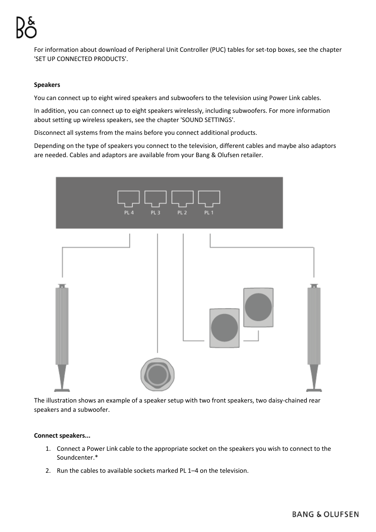For information about download of Peripheral Unit Controller (PUC) tables for set-top boxes, see the chapter 'SET UP CONNECTED PRODUCTS'.

#### **Speakers**

You can connect up to eight wired speakers and subwoofers to the television using Power Link cables.

In addition, you can connect up to eight speakers wirelessly, including subwoofers. For more information about setting up wireless speakers, see the chapter 'SOUND SETTINGS'.

Disconnect all systems from the mains before you connect additional products.

Depending on the type of speakers you connect to the television, different cables and maybe also adaptors are needed. Cables and adaptors are available from your Bang & Olufsen retailer.



The illustration shows an example of a speaker setup with two front speakers, two daisy-chained rear speakers and a subwoofer.

#### **Connect speakers...**

- 1. Connect a Power Link cable to the appropriate socket on the speakers you wish to connect to the Soundcenter.\*
- 2. Run the cables to available sockets marked PL 1–4 on the television.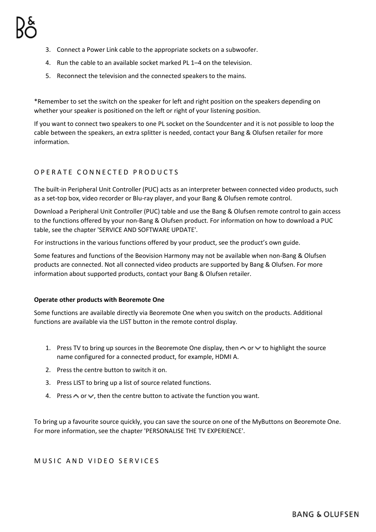- 3. Connect a Power Link cable to the appropriate sockets on a subwoofer.
- 4. Run the cable to an available socket marked PL 1–4 on the television.
- 5. Reconnect the television and the connected speakers to the mains.

\*Remember to set the switch on the speaker for left and right position on the speakers depending on whether your speaker is positioned on the left or right of your listening position.

If you want to connect two speakers to one PL socket on the Soundcenter and it is not possible to loop the cable between the speakers, an extra splitter is needed, contact your Bang & Olufsen retailer for more information.

# OPERATE CONNECTED PRODUCTS

The built-in Peripheral Unit Controller (PUC) acts as an interpreter between connected video products, such as a set-top box, video recorder or Blu-ray player, and your Bang & Olufsen remote control.

Download a Peripheral Unit Controller (PUC) table and use the Bang & Olufsen remote control to gain access to the functions offered by your non-Bang & Olufsen product. For information on how to download a PUC table, see the chapter 'SERVICE AND SOFTWARE UPDATE'.

For instructions in the various functions offered by your product, see the product's own guide.

Some features and functions of the Beovision Harmony may not be available when non-Bang & Olufsen products are connected. Not all connected video products are supported by Bang & Olufsen. For more information about supported products, contact your Bang & Olufsen retailer.

#### **Operate other products with Beoremote One**

Some functions are available directly via Beoremote One when you switch on the products. Additional functions are available via the LIST button in the remote control display.

- 1. Press TV to bring up sources in the Beoremote One display, then  $\sim$  or  $\vee$  to highlight the source name configured for a connected product, for example, HDMI A.
- 2. Press the centre button to switch it on.
- 3. Press LIST to bring up a list of source related functions.
- 4. Press  $\triangle$  or  $\vee$ , then the centre button to activate the function you want.

To bring up a favourite source quickly, you can save the source on one of the MyButtons on Beoremote One. For more information, see the chapter 'PERSONALISE THE TV EXPERIENCE'.

# MUSIC AND VIDEO SERVICES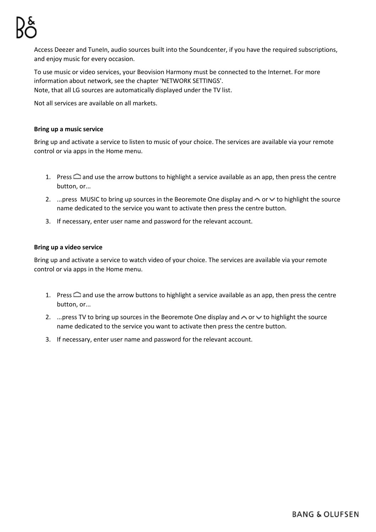Access Deezer and TuneIn, audio sources built into the Soundcenter, if you have the required subscriptions, and enjoy music for every occasion.

To use music or video services, your Beovision Harmony must be connected to the Internet. For more information about network, see the chapter 'NETWORK SETTINGS'. Note, that all LG sources are automatically displayed under the TV list.

Not all services are available on all markets.

### **Bring up a music service**

Bring up and activate a service to listen to music of your choice. The services are available via your remote control or via apps in the Home menu.

- 1. Press  $\triangle$  and use the arrow buttons to highlight a service available as an app, then press the centre button, or...
- 2. ... press MUSIC to bring up sources in the Beoremote One display and  $\sim$  or  $\vee$  to highlight the source name dedicated to the service you want to activate then press the centre button.
- 3. If necessary, enter user name and password for the relevant account.

### **Bring up a video service**

Bring up and activate a service to watch video of your choice. The services are available via your remote control or via apps in the Home menu.

- 1. Press  $\bigcirc$  and use the arrow buttons to highlight a service available as an app, then press the centre button, or...
- 2. ... press TV to bring up sources in the Beoremote One display and  $\wedge$  or  $\vee$  to highlight the source name dedicated to the service you want to activate then press the centre button.
- 3. If necessary, enter user name and password for the relevant account.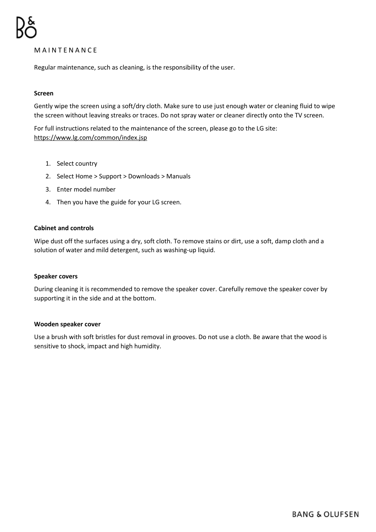# **MAINTENANCE**

Regular maintenance, such as cleaning, is the responsibility of the user.

#### **Screen**

Gently wipe the screen using a soft/dry cloth. Make sure to use just enough water or cleaning fluid to wipe the screen without leaving streaks or traces. Do not spray water or cleaner directly onto the TV screen.

For full instructions related to the maintenance of the screen, please go to the LG site: <https://www.lg.com/common/index.jsp>

- 1. Select country
- 2. Select Home > Support > Downloads > Manuals
- 3. Enter model number
- 4. Then you have the guide for your LG screen.

#### **Cabinet and controls**

Wipe dust off the surfaces using a dry, soft cloth. To remove stains or dirt, use a soft, damp cloth and a solution of water and mild detergent, such as washing-up liquid.

#### **Speaker covers**

During cleaning it is recommended to remove the speaker cover. Carefully remove the speaker cover by supporting it in the side and at the bottom.

#### **Wooden speaker cover**

Use a brush with soft bristles for dust removal in grooves. Do not use a cloth. Be aware that the wood is sensitive to shock, impact and high humidity.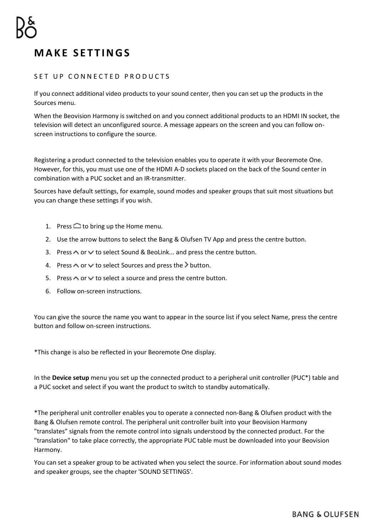# **M A K E S E T T I N G S**

# SET UP CONNECTED PRODUCTS

If you connect additional video products to your sound center, then you can set up the products in the Sources menu.

When the Beovision Harmony is switched on and you connect additional products to an HDMI IN socket, the television will detect an unconfigured source. A message appears on the screen and you can follow onscreen instructions to configure the source.

Registering a product connected to the television enables you to operate it with your Beoremote One. However, for this, you must use one of the HDMI A-D sockets placed on the back of the Sound center in combination with a PUC socket and an IR-transmitter.

Sources have default settings, for example, sound modes and speaker groups that suit most situations but you can change these settings if you wish.

- 1. Press  $\bigcirc$  to bring up the Home menu.
- 2. Use the arrow buttons to select the Bang & Olufsen TV App and press the centre button.
- 3. Press  $\wedge$  or  $\vee$  to select Sound & BeoLink... and press the centre button.
- 4. Press  $\land$  or  $\lor$  to select Sources and press the  $\geq$  button.
- 5. Press  $\wedge$  or  $\vee$  to select a source and press the centre button.
- 6. Follow on-screen instructions.

You can give the source the name you want to appear in the source list if you select Name, press the centre button and follow on-screen instructions.

\*This change is also be reflected in your Beoremote One display.

In the **Device setup** menu you set up the connected product to a peripheral unit controller (PUC\*) table and a PUC socket and select if you want the product to switch to standby automatically.

\*The peripheral unit controller enables you to operate a connected non-Bang & Olufsen product with the Bang & Olufsen remote control. The peripheral unit controller built into your Beovision Harmony "translates" signals from the remote control into signals understood by the connected product. For the "translation" to take place correctly, the appropriate PUC table must be downloaded into your Beovision Harmony.

You can set a speaker group to be activated when you select the source. For information about sound modes and speaker groups, see the chapter 'SOUND SETTINGS'.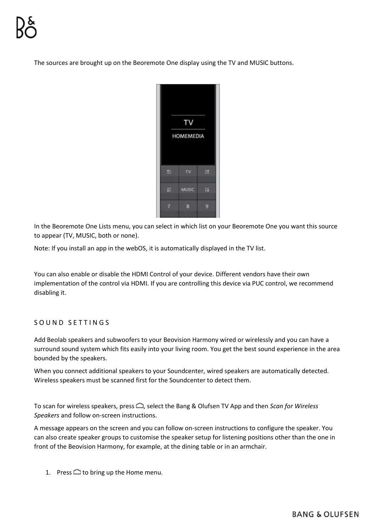The sources are brought up on the Beoremote One display using the TV and MUSIC buttons.



In the Beoremote One Lists menu, you can select in which list on your Beoremote One you want this source to appear (TV, MUSIC, both or none).

Note: If you install an app in the webOS, it is automatically displayed in the TV list.

You can also enable or disable the HDMI Control of your device. Different vendors have their own implementation of the control via HDMI. If you are controlling this device via PUC control, we recommend disabling it.

# SOUND SETTINGS

Add Beolab speakers and subwoofers to your Beovision Harmony wired or wirelessly and you can have a surround sound system which fits easily into your living room. You get the best sound experience in the area bounded by the speakers.

When you connect additional speakers to your Soundcenter, wired speakers are automatically detected. Wireless speakers must be scanned first for the Soundcenter to detect them.

To scan for wireless speakers, press  $\bigcirc$ , select the Bang & Olufsen TV App and then *Scan for Wireless Speakers* and follow on-screen instructions.

A message appears on the screen and you can follow on-screen instructions to configure the speaker. You can also create speaker groups to customise the speaker setup for listening positions other than the one in front of the Beovision Harmony, for example, at the dining table or in an armchair.

1. Press  $\bigcirc$  to bring up the Home menu.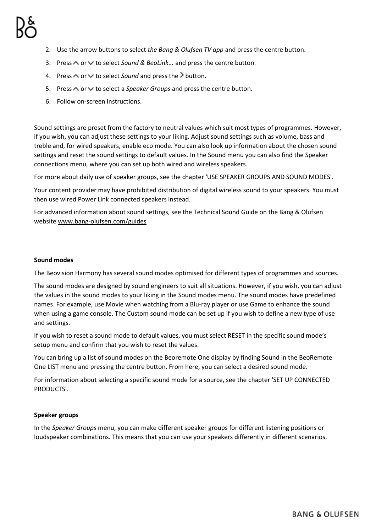- 2. Use the arrow buttons to select *the Bang & Olufsen TV app* and press the centre button.
- 3. Press  $\wedge$  or  $\vee$  to select *Sound & BeoLink...* and press the centre button.
- 4. Press  $\land$  or  $\lor$  to select *Sound* and press the  $\geq$  button.
- 5. Press  $\triangle$  or  $\vee$  to select a *Speaker Groups* and press the centre button.
- 6. Follow on-screen instructions.

Sound settings are preset from the factory to neutral values which suit most types of programmes. However, if you wish, you can adjust these settings to your liking. Adjust sound settings such as volume, bass and treble and, for wired speakers, enable eco mode. You can also look up information about the chosen sound settings and reset the sound settings to default values. In the Sound menu you can also find the Speaker connections menu, where you can set up both wired and wireless speakers.

For more about daily use of speaker groups, see the chapter 'USE SPEAKER GROUPS AND SOUND MODES'.

Your content provider may have prohibited distribution of digital wireless sound to your speakers. You must then use wired Power Link connected speakers instead.

For advanced information about sound settings, see the Technical Sound Guide on the Bang & Olufsen websit[e www.bang-olufsen.com/guides](http://www.bang-olufsen.com/guides)

#### **Sound modes**

The Beovision Harmony has several sound modes optimised for different types of programmes and sources.

The sound modes are designed by sound engineers to suit all situations. However, if you wish, you can adjust the values in the sound modes to your liking in the Sound modes menu. The sound modes have predefined names. For example, use Movie when watching from a Blu-ray player or use Game to enhance the sound when using a game console. The Custom sound mode can be set up if you wish to define a new type of use and settings.

If you wish to reset a sound mode to default values, you must select RESET in the specific sound mode's setup menu and confirm that you wish to reset the values.

You can bring up a list of sound modes on the Beoremote One display by finding Sound in the BeoRemote One LIST menu and pressing the centre button. From here, you can select a desired sound mode.

For information about selecting a specific sound mode for a source, see the chapter 'SET UP CONNECTED PRODUCTS'.

#### **Speaker groups**

In the *Speaker Groups* menu, you can make different speaker groups for different listening positions or loudspeaker combinations. This means that you can use your speakers differently in different scenarios.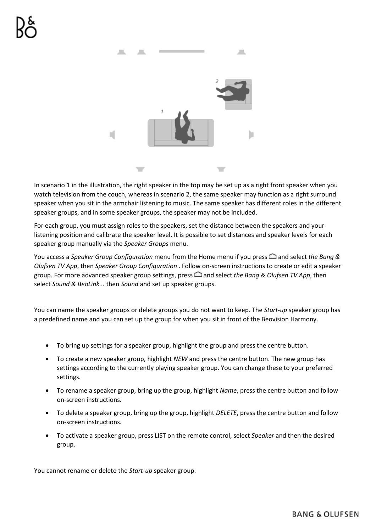

In scenario 1 in the illustration, the right speaker in the top may be set up as a right front speaker when you watch television from the couch, whereas in scenario 2, the same speaker may function as a right surround speaker when you sit in the armchair listening to music. The same speaker has different roles in the different speaker groups, and in some speaker groups, the speaker may not be included.

For each group, you must assign roles to the speakers, set the distance between the speakers and your listening position and calibrate the speaker level. It is possible to set distances and speaker levels for each speaker group manually via the *Speaker Groups* menu.

You access a *Speaker Group Configuration* menu from the Home menu if you press **and select the Bang &** *Olufsen TV App*, then *Speaker Group Configuration* . Follow on-screen instructions to create or edit a speaker group. For more advanced speaker group settings, press and select *the Bang & Olufsen TV App*, then select *Sound & BeoLink...* then *Sound* and set up speaker groups.

You can name the speaker groups or delete groups you do not want to keep. The *Start-up* speaker group has a predefined name and you can set up the group for when you sit in front of the Beovision Harmony.

- To bring up settings for a speaker group, highlight the group and press the centre button.
- To create a new speaker group, highlight *NEW* and press the centre button. The new group has settings according to the currently playing speaker group. You can change these to your preferred settings.
- To rename a speaker group, bring up the group, highlight *Name*, press the centre button and follow on-screen instructions.
- To delete a speaker group, bring up the group, highlight *DELETE*, press the centre button and follow on-screen instructions.
- To activate a speaker group, press LIST on the remote control, select *Speaker* and then the desired group.

You cannot rename or delete the *Start-up* speaker group.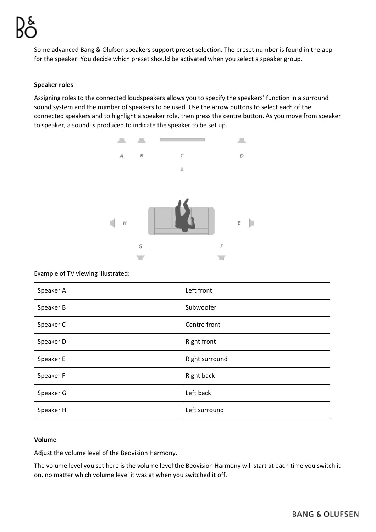Some advanced Bang & Olufsen speakers support preset selection. The preset number is found in the app for the speaker. You decide which preset should be activated when you select a speaker group.

#### **Speaker roles**

Assigning roles to the connected loudspeakers allows you to specify the speakers' function in a surround sound system and the number of speakers to be used. Use the arrow buttons to select each of the connected speakers and to highlight a speaker role, then press the centre button. As you move from speaker to speaker, a sound is produced to indicate the speaker to be set up.



#### Example of TV viewing illustrated:

| Speaker A | Left front         |
|-----------|--------------------|
| Speaker B | Subwoofer          |
| Speaker C | Centre front       |
| Speaker D | <b>Right front</b> |
| Speaker E | Right surround     |
| Speaker F | Right back         |
| Speaker G | Left back          |
| Speaker H | Left surround      |

#### **Volume**

Adjust the volume level of the Beovision Harmony.

The volume level you set here is the volume level the Beovision Harmony will start at each time you switch it on, no matter which volume level it was at when you switched it off.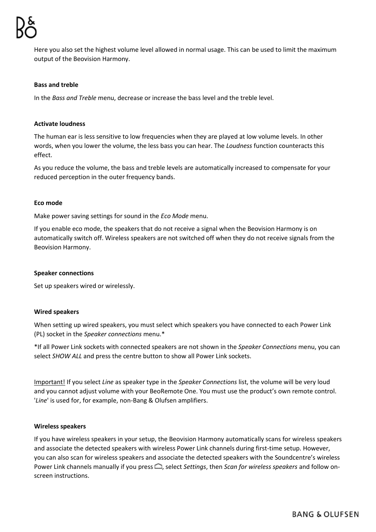Here you also set the highest volume level allowed in normal usage. This can be used to limit the maximum output of the Beovision Harmony.

#### **Bass and treble**

In the *Bass and Treble* menu, decrease or increase the bass level and the treble level.

#### **Activate loudness**

The human ear is less sensitive to low frequencies when they are played at low volume levels. In other words, when you lower the volume, the less bass you can hear. The *Loudness* function counteracts this effect.

As you reduce the volume, the bass and treble levels are automatically increased to compensate for your reduced perception in the outer frequency bands.

#### **Eco mode**

Make power saving settings for sound in the *Eco Mode* menu.

If you enable eco mode, the speakers that do not receive a signal when the Beovision Harmony is on automatically switch off. Wireless speakers are not switched off when they do not receive signals from the Beovision Harmony.

#### **Speaker connections**

Set up speakers wired or wirelessly.

#### **Wired speakers**

When setting up wired speakers, you must select which speakers you have connected to each Power Link (PL) socket in the *Speaker connections* menu.\*

\*If all Power Link sockets with connected speakers are not shown in the *Speaker Connections* menu, you can select *SHOW ALL* and press the centre button to show all Power Link sockets.

Important! If you select *Line* as speaker type in the *Speaker Connections* list, the volume will be very loud and you cannot adjust volume with your BeoRemote One. You must use the product's own remote control. '*Line*' is used for, for example, non-Bang & Olufsen amplifiers.

#### **Wireless speakers**

If you have wireless speakers in your setup, the Beovision Harmony automatically scans for wireless speakers and associate the detected speakers with wireless Power Link channels during first-time setup. However, you can also scan for wireless speakers and associate the detected speakers with the Soundcentre's wireless Power Link channels manually if you press  $\bigcirc$ , select *Settings*, then *Scan for wireless speakers* and follow onscreen instructions.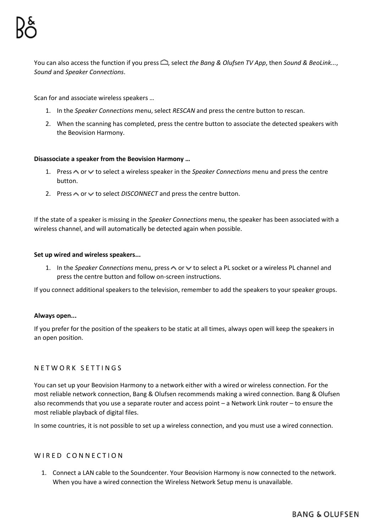You can also access the function if you press  $\Box$ , select the Bang & Olufsen TV App, then *Sound & BeoLink...*, *Sound* and *Speaker Connections*.

Scan for and associate wireless speakers …

- 1. In the *Speaker Connections* menu, select *RESCAN* and press the centre button to rescan.
- 2. When the scanning has completed, press the centre button to associate the detected speakers with the Beovision Harmony.

### **Disassociate a speaker from the Beovision Harmony …**

- 1. Press  $\land$  or  $\lor$  to select a wireless speaker in the *Speaker Connections* menu and press the centre button.
- 2. Press  $\triangle$  or  $\vee$  to select *DISCONNECT* and press the centre button.

If the state of a speaker is missing in the *Speaker Connections* menu, the speaker has been associated with a wireless channel, and will automatically be detected again when possible.

#### **Set up wired and wireless speakers...**

1. In the *Speaker Connections* menu, press  $\land$  or  $\lor$  to select a PL socket or a wireless PL channel and press the centre button and follow on-screen instructions.

If you connect additional speakers to the television, remember to add the speakers to your speaker groups.

#### **Always open...**

If you prefer for the position of the speakers to be static at all times, always open will keep the speakers in an open position.

# NETWORK SETTINGS

You can set up your Beovision Harmony to a network either with a wired or wireless connection. For the most reliable network connection, Bang & Olufsen recommends making a wired connection. Bang & Olufsen also recommends that you use a separate router and access point – a Network Link router – to ensure the most reliable playback of digital files.

In some countries, it is not possible to set up a wireless connection, and you must use a wired connection.

# WIRED CONNECTION

1. Connect a LAN cable to the Soundcenter. Your Beovision Harmony is now connected to the network. When you have a wired connection the Wireless Network Setup menu is unavailable.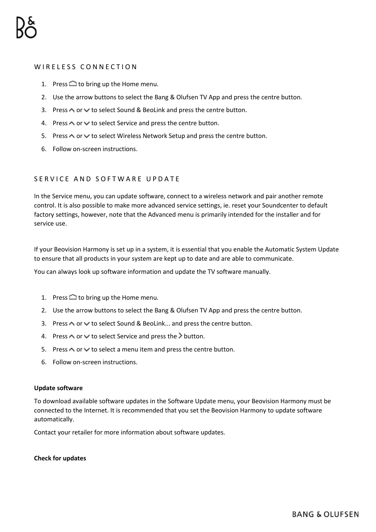# WIRELESS CONNECTION

- 1. Press  $\bigcirc$  to bring up the Home menu.
- 2. Use the arrow buttons to select the Bang & Olufsen TV App and press the centre button.
- 3. Press  $\land$  or  $\lor$  to select Sound & BeoLink and press the centre button.
- 4. Press  $\wedge$  or  $\vee$  to select Service and press the centre button.
- 5. Press  $\bigwedge$  or  $\bigvee$  to select Wireless Network Setup and press the centre button.
- 6. Follow on-screen instructions.

# SERVICE AND SOFTWARE UPDATE

In the Service menu, you can update software, connect to a wireless network and pair another remote control. It is also possible to make more advanced service settings, ie. reset your Soundcenter to default factory settings, however, note that the Advanced menu is primarily intended for the installer and for service use.

If your Beovision Harmony is set up in a system, it is essential that you enable the Automatic System Update to ensure that all products in your system are kept up to date and are able to communicate.

You can always look up software information and update the TV software manually.

- 1. Press  $\bigcirc$  to bring up the Home menu.
- 2. Use the arrow buttons to select the Bang & Olufsen TV App and press the centre button.
- 3. Press  $\triangle$  or  $\vee$  to select Sound & BeoLink... and press the centre button.
- 4. Press  $\land$  or  $\lor$  to select Service and press the  $\geq$  button.
- 5. Press  $\wedge$  or  $\vee$  to select a menu item and press the centre button.
- 6. Follow on-screen instructions.

#### **Update software**

To download available software updates in the Software Update menu, your Beovision Harmony must be connected to the Internet. It is recommended that you set the Beovision Harmony to update software automatically.

Contact your retailer for more information about software updates.

#### **Check for updates**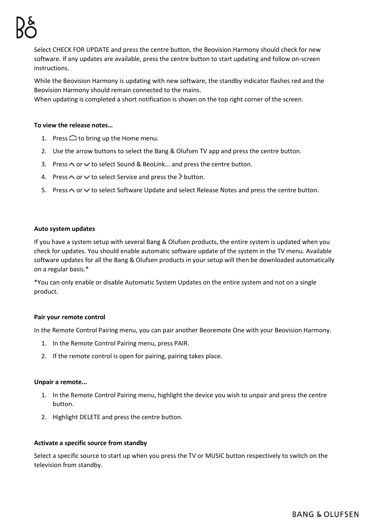Select CHECK FOR UPDATE and press the centre button, the Beovision Harmony should check for new software. If any updates are available, press the centre button to start updating and follow on-screen instructions.

While the Beovision Harmony is updating with new software, the standby indicator flashes red and the Beovision Harmony should remain connected to the mains.

When updating is completed a short notification is shown on the top right corner of the screen.

#### **To view the release notes…**

- 1. Press  $\bigcirc$  to bring up the Home menu.
- 2. Use the arrow buttons to select the Bang & Olufsen TV app and press the centre button.
- 3. Press  $\triangle$  or  $\vee$  to select Sound & BeoLink... and press the centre button.
- 4. Press  $\wedge$  or  $\vee$  to select Service and press the  $\geq$  button.
- 5. Press  $\wedge$  or  $\vee$  to select Software Update and select Release Notes and press the centre button.

#### **Auto system updates**

If you have a system setup with several Bang & Olufsen products, the entire system is updated when you check for updates. You should enable automatic software update of the system in the TV menu. Available software updates for all the Bang & Olufsen products in your setup will then be downloaded automatically on a regular basis.\*

\*You can only enable or disable Automatic System Updates on the entire system and not on a single product.

#### **Pair your remote control**

In the Remote Control Pairing menu, you can pair another Beoremote One with your Beovision Harmony.

- 1. In the Remote Control Pairing menu, press PAIR.
- 2. If the remote control is open for pairing, pairing takes place.

#### **Unpair a remote...**

- 1. In the Remote Control Pairing menu, highlight the device you wish to unpair and press the centre button.
- 2. Highlight DELETE and press the centre button.

#### **Activate a specific source from standby**

Select a specific source to start up when you press the TV or MUSIC button respectively to switch on the television from standby.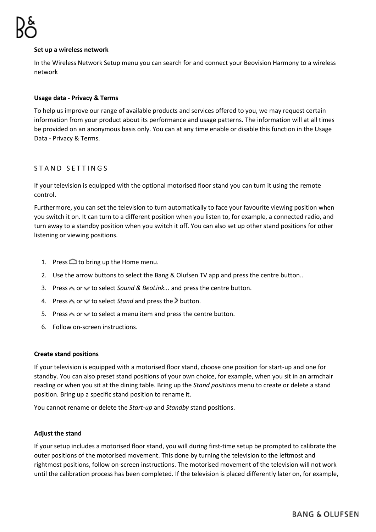#### **Set up a wireless network**

In the Wireless Network Setup menu you can search for and connect your Beovision Harmony to a wireless network

#### **Usage data - Privacy & Terms**

To help us improve our range of available products and services offered to you, we may request certain information from your product about its performance and usage patterns. The information will at all times be provided on an anonymous basis only. You can at any time enable or disable this function in the Usage Data - Privacy & Terms.

# STAND SETTINGS

If your television is equipped with the optional motorised floor stand you can turn it using the remote control.

Furthermore, you can set the television to turn automatically to face your favourite viewing position when you switch it on. It can turn to a different position when you listen to, for example, a connected radio, and turn away to a standby position when you switch it off. You can also set up other stand positions for other listening or viewing positions.

- 1. Press  $\bigcirc$  to bring up the Home menu.
- 2. Use the arrow buttons to select the Bang & Olufsen TV app and press the centre button..
- 3. Press  $\triangle$  or  $\vee$  to select *Sound & BeoLink...* and press the centre button.
- 4. Press  $\land$  or  $\lor$  to select *Stand* and press the button.
- 5. Press  $\triangle$  or  $\triangle$  to select a menu item and press the centre button.
- 6. Follow on-screen instructions.

#### **Create stand positions**

If your television is equipped with a motorised floor stand, choose one position for start-up and one for standby. You can also preset stand positions of your own choice, for example, when you sit in an armchair reading or when you sit at the dining table. Bring up the *Stand positions* menu to create or delete a stand position. Bring up a specific stand position to rename it.

You cannot rename or delete the *Start-up* and *Standby* stand positions.

#### **Adjust the stand**

If your setup includes a motorised floor stand, you will during first-time setup be prompted to calibrate the outer positions of the motorised movement. This done by turning the television to the leftmost and rightmost positions, follow on-screen instructions. The motorised movement of the television will not work until the calibration process has been completed. If the television is placed differently later on, for example,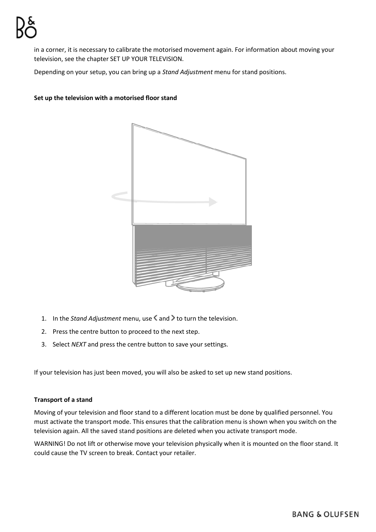in a corner, it is necessary to calibrate the motorised movement again. For information about moving your television, see the chapter SET UP YOUR TELEVISION.

Depending on your setup, you can bring up a *Stand Adjustment* menu for stand positions.

### **Set up the television with a motorised floor stand**



- 1. In the *Stand Adjustment* menu, use < and > to turn the television.
- 2. Press the centre button to proceed to the next step.
- 3. Select *NEXT* and press the centre button to save your settings.

If your television has just been moved, you will also be asked to set up new stand positions.

#### **Transport of a stand**

Moving of your television and floor stand to a different location must be done by qualified personnel. You must activate the transport mode. This ensures that the calibration menu is shown when you switch on the television again. All the saved stand positions are deleted when you activate transport mode.

WARNING! Do not lift or otherwise move your television physically when it is mounted on the floor stand. It could cause the TV screen to break. Contact your retailer.